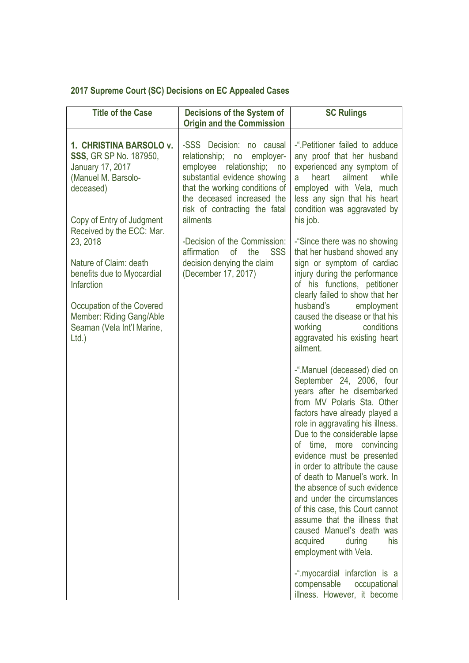## **2017 Supreme Court (SC) Decisions on EC Appealed Cases**

| <b>Title of the Case</b>                                                                                                                                                      | Decisions of the System of<br><b>Origin and the Commission</b>                                                                                                                                                                               | <b>SC Rulings</b>                                                                                                                                                                                                                                                                                                                                                                                                                                                                                                                                                                                              |
|-------------------------------------------------------------------------------------------------------------------------------------------------------------------------------|----------------------------------------------------------------------------------------------------------------------------------------------------------------------------------------------------------------------------------------------|----------------------------------------------------------------------------------------------------------------------------------------------------------------------------------------------------------------------------------------------------------------------------------------------------------------------------------------------------------------------------------------------------------------------------------------------------------------------------------------------------------------------------------------------------------------------------------------------------------------|
| 1. CHRISTINA BARSOLO v.<br><b>SSS, GR SP No. 187950,</b><br>January 17, 2017<br>(Manuel M. Barsolo-<br>deceased)<br>Copy of Entry of Judgment<br>Received by the ECC: Mar.    | -SSS Decision:<br>no causal<br>relationship; no<br>employer-<br>relationship;<br>employee<br>no<br>substantial evidence showing<br>that the working conditions of<br>the deceased increased the<br>risk of contracting the fatal<br>ailments | -" Petitioner failed to adduce<br>any proof that her husband<br>experienced any symptom of<br>heart<br>ailment<br>while<br>a<br>employed with Vela, much<br>less any sign that his heart<br>condition was aggravated by<br>his job.                                                                                                                                                                                                                                                                                                                                                                            |
| 23, 2018<br>Nature of Claim: death<br>benefits due to Myocardial<br>Infarction<br>Occupation of the Covered<br>Member: Riding Gang/Able<br>Seaman (Vela Int'l Marine,<br>Ltd. | -Decision of the Commission:<br>affirmation<br>of<br>the<br><b>SSS</b><br>decision denying the claim<br>(December 17, 2017)                                                                                                                  | -"Since there was no showing<br>that her husband showed any<br>sign or symptom of cardiac<br>injury during the performance<br>of his functions, petitioner<br>clearly failed to show that her<br>husband's<br>employment<br>caused the disease or that his<br>working<br>conditions<br>aggravated his existing heart<br>ailment.                                                                                                                                                                                                                                                                               |
|                                                                                                                                                                               |                                                                                                                                                                                                                                              | -".Manuel (deceased) died on<br>September 24, 2006, four<br>years after he disembarked<br>from MV Polaris Sta. Other<br>factors have already played a<br>role in aggravating his illness.<br>Due to the considerable lapse<br>of time, more convincing<br>evidence must be presented<br>in order to attribute the cause<br>of death to Manuel's work. In<br>the absence of such evidence<br>and under the circumstances<br>of this case, this Court cannot<br>assume that the illness that<br>caused Manuel's death was<br>his<br>acquired<br>during<br>employment with Vela.<br>-" myocardial infarction is a |
|                                                                                                                                                                               |                                                                                                                                                                                                                                              | compensable<br>occupational<br>illness. However, it become                                                                                                                                                                                                                                                                                                                                                                                                                                                                                                                                                     |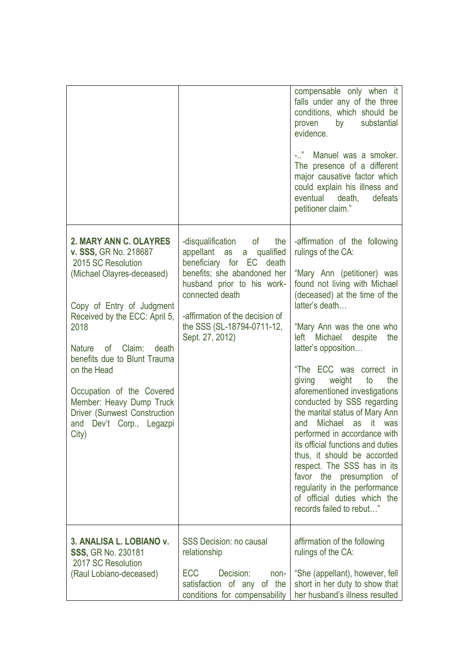|                                                                                                                                                                                                                                                                                                                                                                                                                |                                                                                                                                                                                                                                                               | compensable only when it<br>falls under any of the three<br>conditions, which should be<br>by<br>substantial<br>proven<br>evidence.<br>$ \frac{1}{2}$<br>Manuel was a smoker.<br>The presence of a different<br>major causative factor which<br>could explain his illness and<br>eventual death,<br>defeats<br>petitioner claim."                                                                                                                                                                                                                                                                                                                                                                                                         |
|----------------------------------------------------------------------------------------------------------------------------------------------------------------------------------------------------------------------------------------------------------------------------------------------------------------------------------------------------------------------------------------------------------------|---------------------------------------------------------------------------------------------------------------------------------------------------------------------------------------------------------------------------------------------------------------|-------------------------------------------------------------------------------------------------------------------------------------------------------------------------------------------------------------------------------------------------------------------------------------------------------------------------------------------------------------------------------------------------------------------------------------------------------------------------------------------------------------------------------------------------------------------------------------------------------------------------------------------------------------------------------------------------------------------------------------------|
| 2. MARY ANN C. OLAYRES<br>v. SSS, GR No. 218687<br>2015 SC Resolution<br>(Michael Olayres-deceased)<br>Copy of Entry of Judgment<br>Received by the ECC: April 5,<br>2018<br><b>Nature</b><br><b>of</b><br>Claim:<br>death<br>benefits due to Blunt Trauma<br>on the Head<br>Occupation of the Covered<br>Member: Heavy Dump Truck<br><b>Driver (Sunwest Construction</b><br>and Dev't Corp., Legazpi<br>City) | -disqualification<br>of<br>the<br>a qualified<br>appellant as<br>beneficiary for EC death<br>benefits; she abandoned her<br>husband prior to his work-<br>connected death<br>-affirmation of the decision of<br>the SSS (SL-18794-0711-12,<br>Sept. 27, 2012) | -affirmation of the following<br>rulings of the CA:<br>"Mary Ann (petitioner) was<br>found not living with Michael<br>(deceased) at the time of the<br>latter's death<br>"Mary Ann was the one who<br>Michael<br>despite<br>the<br>left<br>latter's opposition<br>"The ECC was correct in<br>weight<br>the<br>giving<br>to<br>aforementioned investigations<br>conducted by SSS regarding<br>the marital status of Mary Ann<br><b>Michael</b><br>it -<br>as<br>was<br>and<br>performed in accordance with<br>its official functions and duties<br>thus, it should be accorded<br>respect. The SSS has in its<br>favor the presumption<br>_of<br>regularity in the performance<br>of official duties which the<br>records failed to rebut" |
| 3. ANALISA L. LOBIANO v.<br><b>SSS, GR No. 230181</b><br>2017 SC Resolution<br>(Raul Lobiano-deceased)                                                                                                                                                                                                                                                                                                         | <b>SSS Decision: no causal</b><br>relationship<br><b>ECC</b><br>Decision:<br>non-<br>satisfaction of any<br>of the<br>conditions for compensability                                                                                                           | affirmation of the following<br>rulings of the CA:<br>"She (appellant), however, fell<br>short in her duty to show that<br>her husband's illness resulted                                                                                                                                                                                                                                                                                                                                                                                                                                                                                                                                                                                 |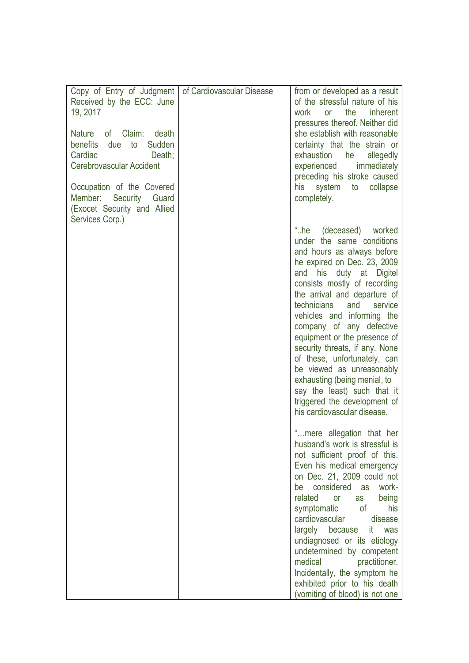| Copy of Entry of Judgment<br>Received by the ECC: June<br>19, 2017<br>of Claim:<br>Nature<br>death<br>benefits<br>Sudden<br>due<br>to<br>Cardiac<br>Death;<br>Cerebrovascular Accident<br>Occupation of the Covered<br>Member:<br>Security<br>Guard<br>(Exocet Security and Allied | of Cardiovascular Disease | from or developed as a result<br>of the stressful nature of his<br>work<br>the<br><i>inherent</i><br>or<br>pressures thereof. Neither did<br>she establish with reasonable<br>certainty that the strain or<br>exhaustion<br>allegedly<br>he<br>experienced<br>immediately<br>preceding his stroke caused<br>his<br>system<br>collapse<br>to<br>completely.                                                                                                                                                                                                                          |
|------------------------------------------------------------------------------------------------------------------------------------------------------------------------------------------------------------------------------------------------------------------------------------|---------------------------|-------------------------------------------------------------------------------------------------------------------------------------------------------------------------------------------------------------------------------------------------------------------------------------------------------------------------------------------------------------------------------------------------------------------------------------------------------------------------------------------------------------------------------------------------------------------------------------|
| Services Corp.)                                                                                                                                                                                                                                                                    |                           | $^{\circ}$ .he<br>(deceased) worked<br>under the same conditions<br>and hours as always before<br>he expired on Dec. 23, 2009<br>his duty at Digitel<br>and<br>consists mostly of recording<br>the arrival and departure of<br>technicians<br>and<br>service<br>vehicles and informing the<br>company of any defective<br>equipment or the presence of<br>security threats, if any. None<br>of these, unfortunately, can<br>be viewed as unreasonably<br>exhausting (being menial, to<br>say the least) such that it<br>triggered the development of<br>his cardiovascular disease. |
|                                                                                                                                                                                                                                                                                    |                           | mere allegation that her<br>husband's work is stressful is<br>not sufficient proof of this.<br>Even his medical emergency<br>on Dec. 21, 2009 could not<br>considered<br>work-<br>as<br>be<br>related<br>being<br><b>or</b><br>as<br>symptomatic<br>of<br>his<br>cardiovascular<br>disease<br>largely because it was<br>undiagnosed or its etiology<br>undetermined by competent<br>medical<br>practitioner.<br>Incidentally, the symptom he<br>exhibited prior to his death<br>(vomiting of blood) is not one                                                                      |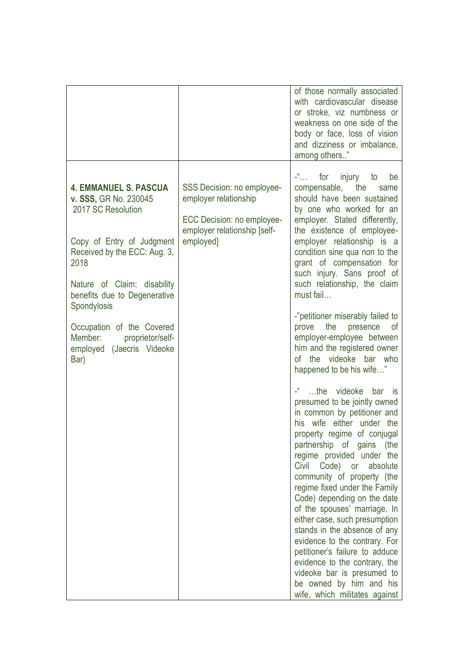|                                                                                                                                                                                                                                |                                                                                                                                | of those normally associated<br>with cardiovascular disease<br>or stroke, viz numbness or<br>weakness on one side of the<br>body or face, loss of vision<br>and dizziness or imbalance,<br>among others"                                                                                                                                                                                                                                                                                                                                                                                                                                       |
|--------------------------------------------------------------------------------------------------------------------------------------------------------------------------------------------------------------------------------|--------------------------------------------------------------------------------------------------------------------------------|------------------------------------------------------------------------------------------------------------------------------------------------------------------------------------------------------------------------------------------------------------------------------------------------------------------------------------------------------------------------------------------------------------------------------------------------------------------------------------------------------------------------------------------------------------------------------------------------------------------------------------------------|
| <b>4. EMMANUEL S. PASCUA</b><br>v. SSS, GR No. 230045<br>2017 SC Resolution<br>Copy of Entry of Judgment<br>Received by the ECC: Aug. 3,<br>2018<br>Nature of Claim: disability<br>benefits due to Degenerative<br>Spondylosis | SSS Decision: no employee-<br>employer relationship<br>ECC Decision: no employee-<br>employer relationship [self-<br>employed] | for injury to<br>$\mathcal{L}^{\text{eff}}_{\text{max}}$<br>be<br>compensable,<br>the<br>same<br>should have been sustained<br>by one who worked for an<br>employer. Stated differently,<br>the existence of employee-<br>employer relationship is a<br>condition sine qua non to the<br>grant of compensation for<br>such injury. Sans proof of<br>such relationship, the claim<br>must fail                                                                                                                                                                                                                                                  |
| Occupation of the Covered<br>proprietor/self-<br>Member:<br>employed (Jaecris Videoke<br>Bar)                                                                                                                                  |                                                                                                                                | -"petitioner miserably failed to<br>the<br>presence<br>prove<br>0f<br>employer-employee between<br>him and the registered owner<br>of the videoke bar who<br>happened to be his wife"                                                                                                                                                                                                                                                                                                                                                                                                                                                          |
|                                                                                                                                                                                                                                |                                                                                                                                | -" the videoke<br>bar is<br>presumed to be jointly owned<br>in common by petitioner and<br>his wife either under the<br>property regime of conjugal<br>partnership of gains (the<br>regime provided under the<br>Civil<br>Code)<br>or<br>absolute<br>community of property (the<br>regime fixed under the Family<br>Code) depending on the date<br>of the spouses' marriage. In<br>either case, such presumption<br>stands in the absence of any<br>evidence to the contrary. For<br>petitioner's failure to adduce<br>evidence to the contrary, the<br>videoke bar is presumed to<br>be owned by him and his<br>wife, which militates against |